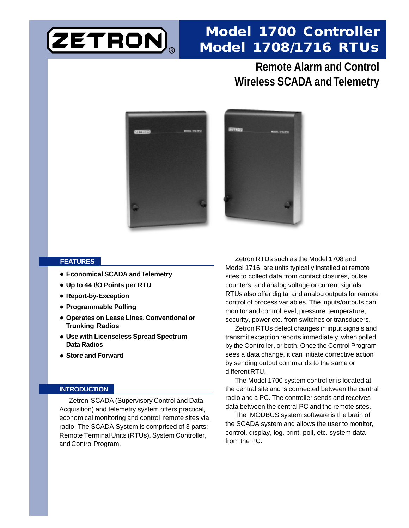

# **Model 1700 Controller Model 1708/1716 RTUs**

## **Remote Alarm and Control Wireless SCADA and Telemetry**





### **FEATURES**

- **Economical SCADA and Telemetry**
- **Up to 44 I/O Points per RTU**
- **Report-by-Exception**
- **Programmable Polling**
- **Operates on Lease Lines, Conventional or Trunking Radios**
- **Use with Licenseless Spread Spectrum Data Radios**
- **Store and Forward**

#### **INTRODUCTION**

Zetron SCADA (Supervisory Control and Data Acquisition) and telemetry system offers practical, economical monitoring and control remote sites via radio. The SCADA System is comprised of 3 parts: Remote Terminal Units (RTUs), System Controller, and Control Program.

Zetron RTUs such as the Model 1708 and Model 1716, are units typically installed at remote sites to collect data from contact closures, pulse counters, and analog voltage or current signals. RTUs also offer digital and analog outputs for remote control of process variables. The inputs/outputs can monitor and control level, pressure, temperature, security, power etc. from switches or transducers.

Zetron RTUs detect changes in input signals and transmit exception reports immediately, when polled by the Controller, or both. Once the Control Program sees a data change, it can initiate corrective action by sending output commands to the same or different RTU.

The Model 1700 system controller is located at the central site and is connected between the central radio and a PC. The controller sends and receives data between the central PC and the remote sites.

The MODBUS system software is the brain of the SCADA system and allows the user to monitor, control, display, log, print, poll, etc. system data from the PC.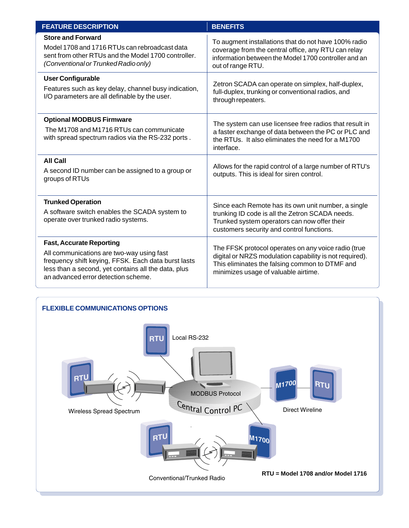| <b>FEATURE DESCRIPTION</b>                                                                                                                                                                                                        | <b>BENEFITS</b>                                                                                                                                                                                          |
|-----------------------------------------------------------------------------------------------------------------------------------------------------------------------------------------------------------------------------------|----------------------------------------------------------------------------------------------------------------------------------------------------------------------------------------------------------|
| <b>Store and Forward</b><br>Model 1708 and 1716 RTUs can rebroadcast data<br>sent from other RTUs and the Model 1700 controller.<br>(Conventional or Trunked Radio only)                                                          | To augment installations that do not have 100% radio<br>coverage from the central office, any RTU can relay<br>information between the Model 1700 controller and an<br>out of range RTU.                 |
| <b>User Configurable</b><br>Features such as key delay, channel busy indication,<br>I/O parameters are all definable by the user.                                                                                                 | Zetron SCADA can operate on simplex, half-duplex,<br>full-duplex, trunking or conventional radios, and<br>through repeaters.                                                                             |
| <b>Optional MODBUS Firmware</b><br>The M1708 and M1716 RTUs can communicate<br>with spread spectrum radios via the RS-232 ports.                                                                                                  | The system can use licensee free radios that result in<br>a faster exchange of data between the PC or PLC and<br>the RTUs. It also eliminates the need for a M1700<br>interface.                         |
| <b>All Call</b><br>A second ID number can be assigned to a group or<br>groups of RTUs                                                                                                                                             | Allows for the rapid control of a large number of RTU's<br>outputs. This is ideal for siren control.                                                                                                     |
| <b>Trunked Operation</b><br>A software switch enables the SCADA system to<br>operate over trunked radio systems.                                                                                                                  | Since each Remote has its own unit number, a single<br>trunking ID code is all the Zetron SCADA needs.<br>Trunked system operators can now offer their<br>customers security and control functions.      |
| <b>Fast, Accurate Reporting</b><br>All communications are two-way using fast<br>frequency shift keying, FFSK. Each data burst lasts<br>less than a second, yet contains all the data, plus<br>an advanced error detection scheme. | The FFSK protocol operates on any voice radio (true<br>digital or NRZS modulation capability is not required).<br>This eliminates the falsing common to DTMF and<br>minimizes usage of valuable airtime. |

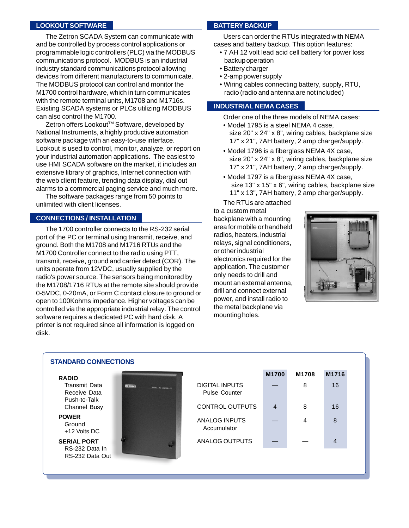### **LOOKOUT SOFTWARE**

The Zetron SCADA System can communicate with and be controlled by process control applications or programmable logic controllers (PLC) via the MODBUS communications protocol. MODBUS is an industrial industry standard communications protocol allowing devices from different manufacturers to communicate. The MODBUS protocol can control and monitor the M1700 control hardware, which in turn communicates with the remote terminal units, M1708 and M1716s. Existing SCADA systems or PLCs utilizing MODBUS can also control the M1700.

Zetron offers Lookout™ Software, developed by National Instruments, a highly productive automation software package with an easy-to-use interface. Lookout is used to control, monitor, analyze, or report on your industrial automation applications. The easiest to use HMI SCADA software on the market, it includes an extensive library of graphics, Internet connection with the web client feature, trending data display, dial out alarms to a commercial paging service and much more.

The software packages range from 50 points to unlimited with client licenses.

### **CONNECTIONS / INSTALLATION**

The 1700 controller connects to the RS-232 serial port of the PC or terminal using transmit, receive, and ground. Both the M1708 and M1716 RTUs and the M1700 Controller connect to the radio using PTT, transmit, receive, ground and carrier detect (COR). The units operate from 12VDC, usually supplied by the radio's power source. The sensors being monitored by the M1708/1716 RTUs at the remote site should provide 0-5VDC, 0-20mA, or Form C contact closure to ground or open to 100Kohms impedance. Higher voltages can be controlled via the appropriate industrial relay. The control software requires a dedicated PC with hard disk. A printer is not required since all information is logged on disk.

### **BATTERY BACKUP**

Users can order the RTUs integrated with NEMA cases and battery backup. This option features:

- 7 AH 12 volt lead acid cell battery for power loss backup operation
- Battery charger
- 2-amp power supply
- Wiring cables connecting battery, supply, RTU, radio (radio and antenna are not included)

### **INDUSTRIAL NEMA CASES**

Order one of the three models of NEMA cases:

- Model 1795 is a steel NEMA 4 case, size 20" x 24" x 8", wiring cables, backplane size 17" x 21", 7AH battery, 2 amp charger/supply.
- Model 1796 is a fiberglass NEMA 4X case, size 20" x 24" x 8", wiring cables, backplane size 17" x 21", 7AH battery, 2 amp charger/supply.
- Model 1797 is a fiberglass NEMA 4X case, size 13" x 15" x 6", wiring cables, backplane size 11" x 13", 7AH battery, 2 amp charger/supply.

The RTUs are attached to a custom metal backplane with a mounting area for mobile or handheld radios, heaters, industrial relays, signal conditioners, or other industrial electronics required for the application. The customer only needs to drill and mount an external antenna, drill and connect external power, and install radio to the metal backplane via mounting holes.



| <b>STANDARD CONNECTIONS</b>                             |                                                  |                                               |       |       |       |
|---------------------------------------------------------|--------------------------------------------------|-----------------------------------------------|-------|-------|-------|
| <b>RADIO</b>                                            |                                                  |                                               | M1700 | M1708 | M1716 |
| Transmit Data<br>Receive Data<br>Push-to-Talk           | <b>USE TIMORA</b><br><b>MASES TWO CONSULTERS</b> | <b>DIGITAL INPUTS</b><br><b>Pulse Counter</b> |       | 8     | 16    |
| Channel Busy                                            |                                                  | <b>CONTROL OUTPUTS</b>                        | 4     | 8     | 16    |
| <b>POWER</b><br>Ground<br>+12 Volts DC                  |                                                  | ANALOG INPUTS<br>Accumulator                  |       | 4     | 8     |
| <b>SERIAL PORT</b><br>RS-232 Data In<br>RS-232 Data Out |                                                  | ANALOG OUTPUTS                                |       |       | 4     |
|                                                         |                                                  |                                               |       |       |       |